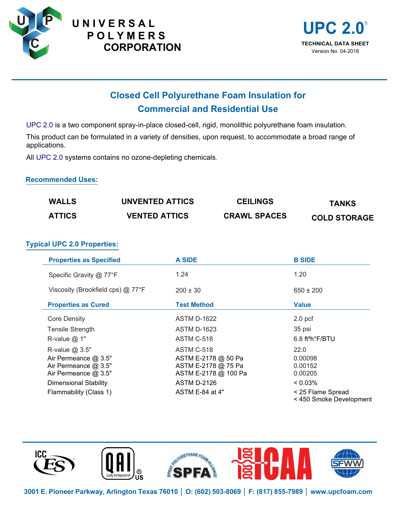





# **Closed Cell Polyurethane Foam Insulation for Commercial and Residential Use**

UPC 2.0 is a two component spray-in-place closed-cell, rigid, monolithic polyurethane foam insulation.

This product can be formulated in a variety of densities, upon request, to accommodate a broad range of applications.

All UPC 2.0 systems contains no ozone-depleting chemicals.

# **Recommended Uses:**

| <b>WALLS</b>  | UNVENTED ATTICS      | <b>CEILINGS</b>     | <b>TANKS</b>        |
|---------------|----------------------|---------------------|---------------------|
| <b>ATTICS</b> | <b>VENTED ATTICS</b> | <b>CRAWL SPACES</b> | <b>COLD STORAGE</b> |

# **Typical UPC 2.0 Properties:**

| <b>Properties as Specified</b>    | <b>A SIDE</b>        | <b>B SIDE</b>                                |
|-----------------------------------|----------------------|----------------------------------------------|
| Specific Gravity @ 77°F           | 1.24                 | 1.20                                         |
| Viscosity (Brookfield cps) @ 77°F | $200 \pm 30$         | $650 \pm 200$                                |
| <b>Properties as Cured</b>        | <b>Test Method</b>   | <b>Value</b>                                 |
| <b>Core Density</b>               | <b>ASTM D-1622</b>   | 2.0 <sub>pcf</sub>                           |
| <b>Tensile Strength</b>           | <b>ASTM D-1623</b>   | 35 psi                                       |
| R-value $@$ 1"                    | ASTM C-518           | $6.8$ ft <sup>2</sup> h $\degree$ F/BTU      |
| R-value @ 3.5"                    | ASTM C-518           | 22.0                                         |
| Air Permeance @ 3.5"              | ASTM E-2178 @ 50 Pa  | 0.00098                                      |
| Air Permeance @ 3.5"              | ASTM E-2178 @ 75 Pa  | 0.00152                                      |
| Air Permeance @ 3.5"              | ASTM E-2178 @ 100 Pa | 0.00205                                      |
| <b>Dimensional Stability</b>      | <b>ASTM D-2126</b>   | $< 0.03\%$                                   |
| Flammability (Class 1)            | ASTM E-84 at 4"      | < 25 Flame Spread<br>< 450 Smoke Development |